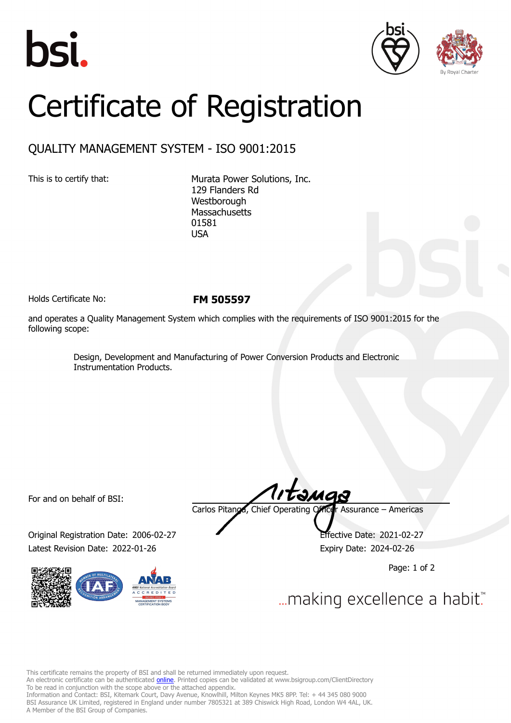





## Certificate of Registration

## QUALITY MANAGEMENT SYSTEM - ISO 9001:2015

This is to certify that: Murata Power Solutions, Inc. 129 Flanders Rd Westborough **Massachusetts** 01581 USA

Holds Certificate No: **FM 505597**

and operates a Quality Management System which complies with the requirements of ISO 9001:2015 for the following scope:

> Design, Development and Manufacturing of Power Conversion Products and Electronic Instrumentation Products.

For and on behalf of BSI:

Original Registration Date: 2006-02-27 Effective Date: 2021-02-27 Latest Revision Date: 2022-01-26 Expiry Date: 2024-02-26



Carlos Pitanga, Chief Operating Officer Assurance – Americas

Page: 1 of 2

... making excellence a habit."

This certificate remains the property of BSI and shall be returned immediately upon request.

An electronic certificate can be authenticated *[online](https://pgplus.bsigroup.com/CertificateValidation/CertificateValidator.aspx?CertificateNumber=FM+505597&ReIssueDate=26%2f01%2f2022&Template=inc)*. Printed copies can be validated at www.bsigroup.com/ClientDirectory To be read in conjunction with the scope above or the attached appendix.

Information and Contact: BSI, Kitemark Court, Davy Avenue, Knowlhill, Milton Keynes MK5 8PP. Tel: + 44 345 080 9000 BSI Assurance UK Limited, registered in England under number 7805321 at 389 Chiswick High Road, London W4 4AL, UK. A Member of the BSI Group of Companies.